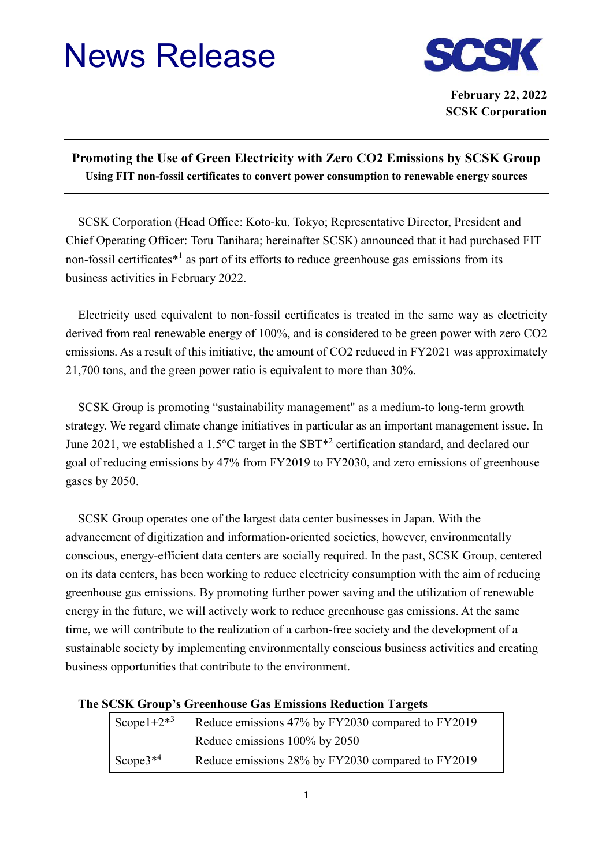## News Release



**February 22, 2022 SCSK Corporation**

## **Promoting the Use of Green Electricity with Zero CO2 Emissions by SCSK Group Using FIT non-fossil certificates to convert power consumption to renewable energy sources**

SCSK Corporation (Head Office: Koto-ku, Tokyo; Representative Director, President and Chief Operating Officer: Toru Tanihara; hereinafter SCSK) announced that it had purchased FIT non-fossil certificates\*<sup>1</sup> as part of its efforts to reduce greenhouse gas emissions from its business activities in February 2022.

Electricity used equivalent to non-fossil certificates is treated in the same way as electricity derived from real renewable energy of 100%, and is considered to be green power with zero CO2 emissions. As a result of this initiative, the amount of CO2 reduced in FY2021 was approximately 21,700 tons, and the green power ratio is equivalent to more than 30%.

SCSK Group is promoting "sustainability management" as a medium-to long-term growth strategy. We regard climate change initiatives in particular as an important management issue. In June 2021, we established a 1.5°C target in the SBT<sup>\*2</sup> certification standard, and declared our goal of reducing emissions by 47% from FY2019 to FY2030, and zero emissions of greenhouse gases by 2050.

SCSK Group operates one of the largest data center businesses in Japan. With the advancement of digitization and information-oriented societies, however, environmentally conscious, energy-efficient data centers are socially required. In the past, SCSK Group, centered on its data centers, has been working to reduce electricity consumption with the aim of reducing greenhouse gas emissions. By promoting further power saving and the utilization of renewable energy in the future, we will actively work to reduce greenhouse gas emissions. At the same time, we will contribute to the realization of a carbon-free society and the development of a sustainable society by implementing environmentally conscious business activities and creating business opportunities that contribute to the environment.

| Scope $1+2^{*3}$ | Reduce emissions 47% by FY2030 compared to FY2019 |
|------------------|---------------------------------------------------|
|                  | Reduce emissions 100% by 2050                     |
| Scope $3^{*4}$   | Reduce emissions 28% by FY2030 compared to FY2019 |

## **The SCSK Group's Greenhouse Gas Emissions Reduction Targets**